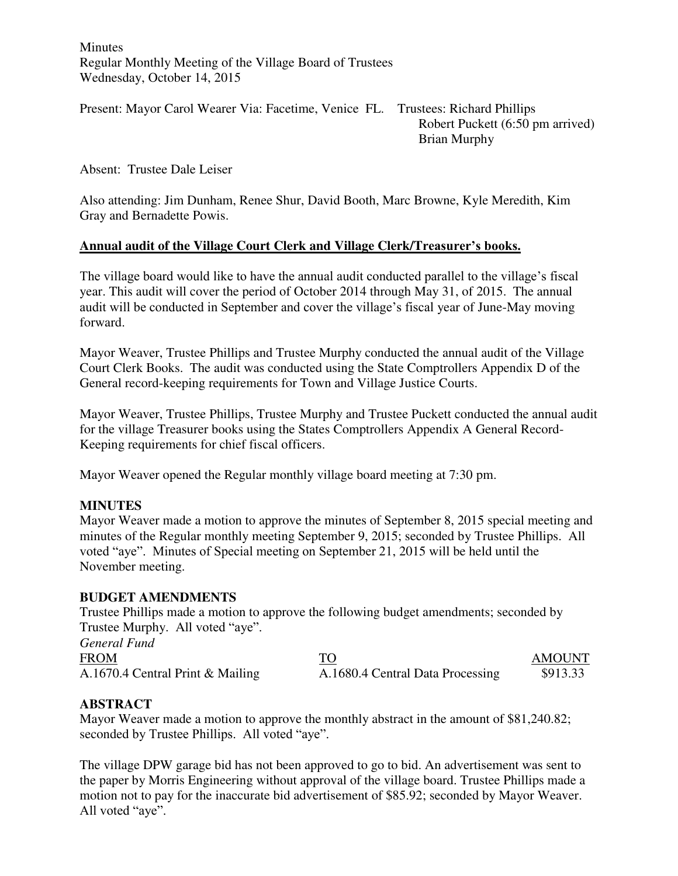**Minutes** Regular Monthly Meeting of the Village Board of Trustees Wednesday, October 14, 2015

Present: Mayor Carol Wearer Via: Facetime, Venice FL. Trustees: Richard Phillips Robert Puckett (6:50 pm arrived) Brian Murphy

Absent: Trustee Dale Leiser

Also attending: Jim Dunham, Renee Shur, David Booth, Marc Browne, Kyle Meredith, Kim Gray and Bernadette Powis.

#### **Annual audit of the Village Court Clerk and Village Clerk/Treasurer's books.**

The village board would like to have the annual audit conducted parallel to the village's fiscal year. This audit will cover the period of October 2014 through May 31, of 2015. The annual audit will be conducted in September and cover the village's fiscal year of June-May moving forward.

Mayor Weaver, Trustee Phillips and Trustee Murphy conducted the annual audit of the Village Court Clerk Books. The audit was conducted using the State Comptrollers Appendix D of the General record-keeping requirements for Town and Village Justice Courts.

Mayor Weaver, Trustee Phillips, Trustee Murphy and Trustee Puckett conducted the annual audit for the village Treasurer books using the States Comptrollers Appendix A General Record-Keeping requirements for chief fiscal officers.

Mayor Weaver opened the Regular monthly village board meeting at 7:30 pm.

# **MINUTES**

Mayor Weaver made a motion to approve the minutes of September 8, 2015 special meeting and minutes of the Regular monthly meeting September 9, 2015; seconded by Trustee Phillips. All voted "aye". Minutes of Special meeting on September 21, 2015 will be held until the November meeting.

#### **BUDGET AMENDMENTS**

Trustee Phillips made a motion to approve the following budget amendments; seconded by Trustee Murphy. All voted "aye".

*General Fund* 

FROM TO AMOUNT A.1670.4 Central Print & Mailing A.1680.4 Central Data Processing \$913.33

# **ABSTRACT**

Mayor Weaver made a motion to approve the monthly abstract in the amount of \$81,240.82; seconded by Trustee Phillips. All voted "aye".

The village DPW garage bid has not been approved to go to bid. An advertisement was sent to the paper by Morris Engineering without approval of the village board. Trustee Phillips made a motion not to pay for the inaccurate bid advertisement of \$85.92; seconded by Mayor Weaver. All voted "aye".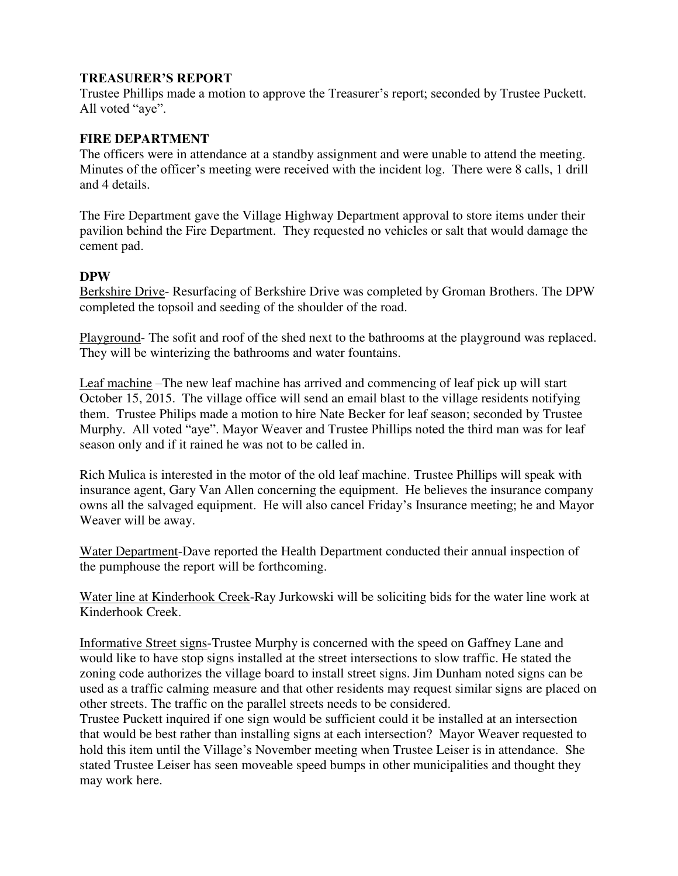#### **TREASURER'S REPORT**

Trustee Phillips made a motion to approve the Treasurer's report; seconded by Trustee Puckett. All voted "aye".

#### **FIRE DEPARTMENT**

The officers were in attendance at a standby assignment and were unable to attend the meeting. Minutes of the officer's meeting were received with the incident log. There were 8 calls, 1 drill and 4 details.

The Fire Department gave the Village Highway Department approval to store items under their pavilion behind the Fire Department. They requested no vehicles or salt that would damage the cement pad.

#### **DPW**

Berkshire Drive- Resurfacing of Berkshire Drive was completed by Groman Brothers. The DPW completed the topsoil and seeding of the shoulder of the road.

Playground- The sofit and roof of the shed next to the bathrooms at the playground was replaced. They will be winterizing the bathrooms and water fountains.

Leaf machine –The new leaf machine has arrived and commencing of leaf pick up will start October 15, 2015. The village office will send an email blast to the village residents notifying them. Trustee Philips made a motion to hire Nate Becker for leaf season; seconded by Trustee Murphy. All voted "aye". Mayor Weaver and Trustee Phillips noted the third man was for leaf season only and if it rained he was not to be called in.

Rich Mulica is interested in the motor of the old leaf machine. Trustee Phillips will speak with insurance agent, Gary Van Allen concerning the equipment. He believes the insurance company owns all the salvaged equipment. He will also cancel Friday's Insurance meeting; he and Mayor Weaver will be away.

Water Department-Dave reported the Health Department conducted their annual inspection of the pumphouse the report will be forthcoming.

Water line at Kinderhook Creek-Ray Jurkowski will be soliciting bids for the water line work at Kinderhook Creek.

Informative Street signs-Trustee Murphy is concerned with the speed on Gaffney Lane and would like to have stop signs installed at the street intersections to slow traffic. He stated the zoning code authorizes the village board to install street signs. Jim Dunham noted signs can be used as a traffic calming measure and that other residents may request similar signs are placed on other streets. The traffic on the parallel streets needs to be considered.

Trustee Puckett inquired if one sign would be sufficient could it be installed at an intersection that would be best rather than installing signs at each intersection? Mayor Weaver requested to hold this item until the Village's November meeting when Trustee Leiser is in attendance. She stated Trustee Leiser has seen moveable speed bumps in other municipalities and thought they may work here.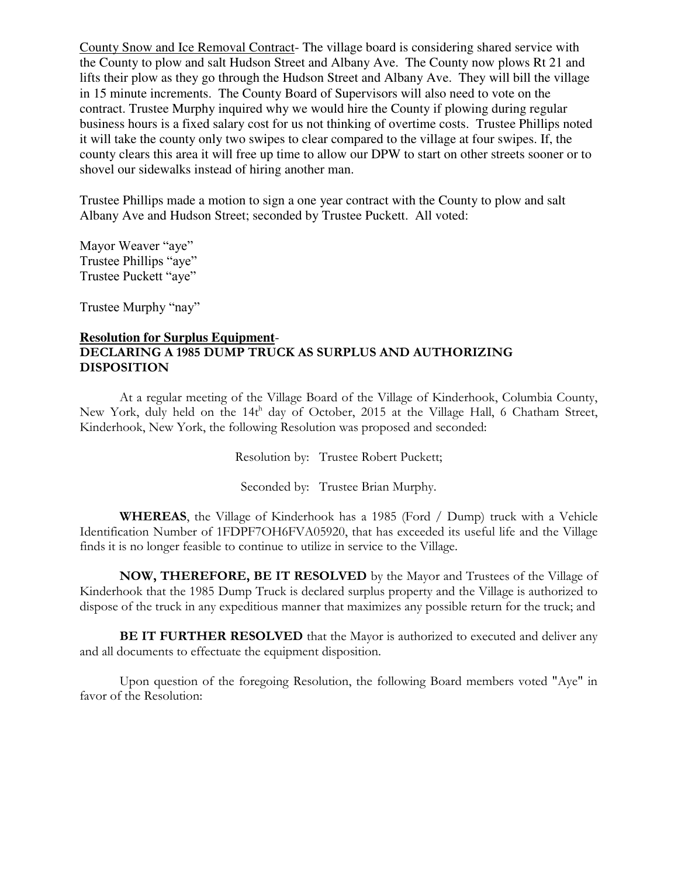County Snow and Ice Removal Contract- The village board is considering shared service with the County to plow and salt Hudson Street and Albany Ave. The County now plows Rt 21 and lifts their plow as they go through the Hudson Street and Albany Ave. They will bill the village in 15 minute increments. The County Board of Supervisors will also need to vote on the contract. Trustee Murphy inquired why we would hire the County if plowing during regular business hours is a fixed salary cost for us not thinking of overtime costs. Trustee Phillips noted it will take the county only two swipes to clear compared to the village at four swipes. If, the county clears this area it will free up time to allow our DPW to start on other streets sooner or to shovel our sidewalks instead of hiring another man.

Trustee Phillips made a motion to sign a one year contract with the County to plow and salt Albany Ave and Hudson Street; seconded by Trustee Puckett. All voted:

Mayor Weaver "aye" Trustee Phillips "aye" Trustee Puckett "aye"

Trustee Murphy "nay"

#### **Resolution for Surplus Equipment**-**DECLARING A 1985 DUMP TRUCK AS SURPLUS AND AUTHORIZING DISPOSITION**

At a regular meeting of the Village Board of the Village of Kinderhook, Columbia County, New York, duly held on the  $14t^h$  day of October, 2015 at the Village Hall, 6 Chatham Street, Kinderhook, New York, the following Resolution was proposed and seconded:

Resolution by: Trustee Robert Puckett;

Seconded by: Trustee Brian Murphy.

**WHEREAS**, the Village of Kinderhook has a 1985 (Ford / Dump) truck with a Vehicle Identification Number of 1FDPF7OH6FVA05920, that has exceeded its useful life and the Village finds it is no longer feasible to continue to utilize in service to the Village.

 **NOW, THEREFORE, BE IT RESOLVED** by the Mayor and Trustees of the Village of Kinderhook that the 1985 Dump Truck is declared surplus property and the Village is authorized to dispose of the truck in any expeditious manner that maximizes any possible return for the truck; and

**BE IT FURTHER RESOLVED** that the Mayor is authorized to executed and deliver any and all documents to effectuate the equipment disposition.

Upon question of the foregoing Resolution, the following Board members voted "Aye" in favor of the Resolution: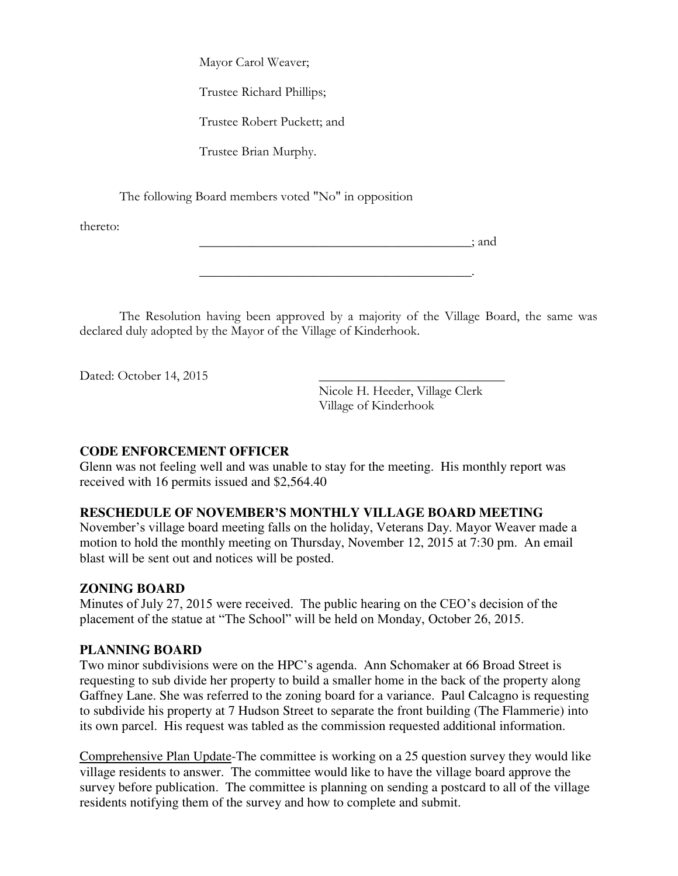Mayor Carol Weaver;

Trustee Richard Phillips;

Trustee Robert Puckett; and

Trustee Brian Murphy.

The following Board members voted "No" in opposition

thereto:

 $\therefore$  and

 The Resolution having been approved by a majority of the Village Board, the same was declared duly adopted by the Mayor of the Village of Kinderhook.

\_\_\_\_\_\_\_\_\_\_\_\_\_\_\_\_\_\_\_\_\_\_\_\_\_\_\_\_\_\_\_\_\_\_\_\_\_\_\_\_\_.

Dated: October 14, 2015

Nicole H. Heeder, Village Clerk Village of Kinderhook

# **CODE ENFORCEMENT OFFICER**

Glenn was not feeling well and was unable to stay for the meeting. His monthly report was received with 16 permits issued and \$2,564.40

# **RESCHEDULE OF NOVEMBER'S MONTHLY VILLAGE BOARD MEETING**

November's village board meeting falls on the holiday, Veterans Day. Mayor Weaver made a motion to hold the monthly meeting on Thursday, November 12, 2015 at 7:30 pm. An email blast will be sent out and notices will be posted.

# **ZONING BOARD**

Minutes of July 27, 2015 were received. The public hearing on the CEO's decision of the placement of the statue at "The School" will be held on Monday, October 26, 2015.

# **PLANNING BOARD**

Two minor subdivisions were on the HPC's agenda. Ann Schomaker at 66 Broad Street is requesting to sub divide her property to build a smaller home in the back of the property along Gaffney Lane. She was referred to the zoning board for a variance. Paul Calcagno is requesting to subdivide his property at 7 Hudson Street to separate the front building (The Flammerie) into its own parcel. His request was tabled as the commission requested additional information.

Comprehensive Plan Update-The committee is working on a 25 question survey they would like village residents to answer. The committee would like to have the village board approve the survey before publication. The committee is planning on sending a postcard to all of the village residents notifying them of the survey and how to complete and submit.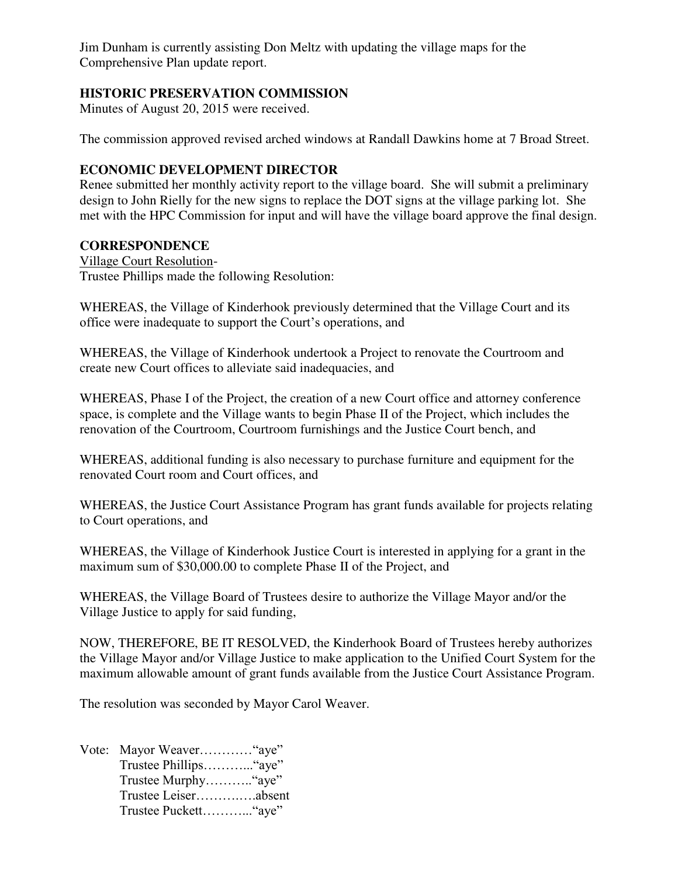Jim Dunham is currently assisting Don Meltz with updating the village maps for the Comprehensive Plan update report.

# **HISTORIC PRESERVATION COMMISSION**

Minutes of August 20, 2015 were received.

The commission approved revised arched windows at Randall Dawkins home at 7 Broad Street.

# **ECONOMIC DEVELOPMENT DIRECTOR**

Renee submitted her monthly activity report to the village board. She will submit a preliminary design to John Rielly for the new signs to replace the DOT signs at the village parking lot. She met with the HPC Commission for input and will have the village board approve the final design.

#### **CORRESPONDENCE**

Village Court Resolution-Trustee Phillips made the following Resolution:

WHEREAS, the Village of Kinderhook previously determined that the Village Court and its office were inadequate to support the Court's operations, and

WHEREAS, the Village of Kinderhook undertook a Project to renovate the Courtroom and create new Court offices to alleviate said inadequacies, and

WHEREAS, Phase I of the Project, the creation of a new Court office and attorney conference space, is complete and the Village wants to begin Phase II of the Project, which includes the renovation of the Courtroom, Courtroom furnishings and the Justice Court bench, and

WHEREAS, additional funding is also necessary to purchase furniture and equipment for the renovated Court room and Court offices, and

WHEREAS, the Justice Court Assistance Program has grant funds available for projects relating to Court operations, and

WHEREAS, the Village of Kinderhook Justice Court is interested in applying for a grant in the maximum sum of \$30,000.00 to complete Phase II of the Project, and

WHEREAS, the Village Board of Trustees desire to authorize the Village Mayor and/or the Village Justice to apply for said funding,

NOW, THEREFORE, BE IT RESOLVED, the Kinderhook Board of Trustees hereby authorizes the Village Mayor and/or Village Justice to make application to the Unified Court System for the maximum allowable amount of grant funds available from the Justice Court Assistance Program.

The resolution was seconded by Mayor Carol Weaver.

Vote: Mayor Weaver…………"aye" Trustee Phillips………..."aye" Trustee Murphy……….."aye" Trustee Leiser……….….absent Trustee Puckett………..."aye"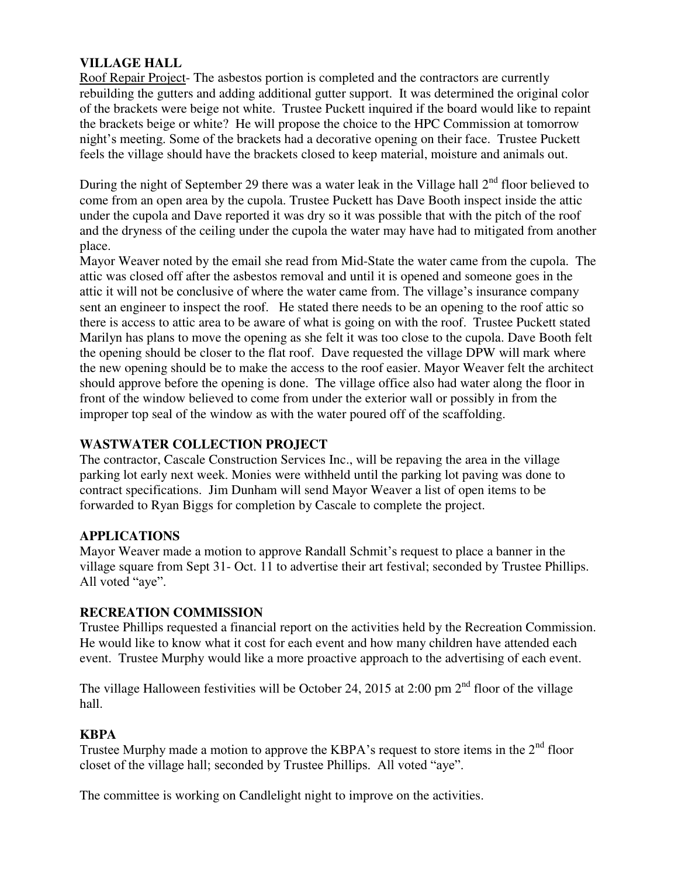# **VILLAGE HALL**

Roof Repair Project- The asbestos portion is completed and the contractors are currently rebuilding the gutters and adding additional gutter support. It was determined the original color of the brackets were beige not white. Trustee Puckett inquired if the board would like to repaint the brackets beige or white? He will propose the choice to the HPC Commission at tomorrow night's meeting. Some of the brackets had a decorative opening on their face. Trustee Puckett feels the village should have the brackets closed to keep material, moisture and animals out.

During the night of September 29 there was a water leak in the Village hall  $2<sup>nd</sup>$  floor believed to come from an open area by the cupola. Trustee Puckett has Dave Booth inspect inside the attic under the cupola and Dave reported it was dry so it was possible that with the pitch of the roof and the dryness of the ceiling under the cupola the water may have had to mitigated from another place.

Mayor Weaver noted by the email she read from Mid-State the water came from the cupola. The attic was closed off after the asbestos removal and until it is opened and someone goes in the attic it will not be conclusive of where the water came from. The village's insurance company sent an engineer to inspect the roof. He stated there needs to be an opening to the roof attic so there is access to attic area to be aware of what is going on with the roof. Trustee Puckett stated Marilyn has plans to move the opening as she felt it was too close to the cupola. Dave Booth felt the opening should be closer to the flat roof. Dave requested the village DPW will mark where the new opening should be to make the access to the roof easier. Mayor Weaver felt the architect should approve before the opening is done. The village office also had water along the floor in front of the window believed to come from under the exterior wall or possibly in from the improper top seal of the window as with the water poured off of the scaffolding.

# **WASTWATER COLLECTION PROJECT**

The contractor, Cascale Construction Services Inc., will be repaving the area in the village parking lot early next week. Monies were withheld until the parking lot paving was done to contract specifications. Jim Dunham will send Mayor Weaver a list of open items to be forwarded to Ryan Biggs for completion by Cascale to complete the project.

# **APPLICATIONS**

Mayor Weaver made a motion to approve Randall Schmit's request to place a banner in the village square from Sept 31- Oct. 11 to advertise their art festival; seconded by Trustee Phillips. All voted "aye".

# **RECREATION COMMISSION**

Trustee Phillips requested a financial report on the activities held by the Recreation Commission. He would like to know what it cost for each event and how many children have attended each event. Trustee Murphy would like a more proactive approach to the advertising of each event.

The village Halloween festivities will be October 24, 2015 at 2:00 pm  $2<sup>nd</sup>$  floor of the village hall.

# **KBPA**

Trustee Murphy made a motion to approve the KBPA's request to store items in the  $2<sup>nd</sup>$  floor closet of the village hall; seconded by Trustee Phillips. All voted "aye".

The committee is working on Candlelight night to improve on the activities.